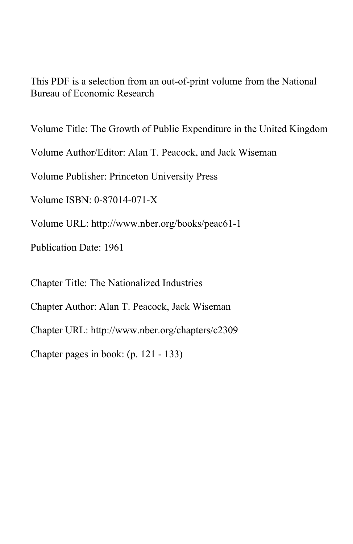This PDF is a selection from an out-of-print volume from the National Bureau of Economic Research

Volume Title: The Growth of Public Expenditure in the United Kingdom

Volume Author/Editor: Alan T. Peacock, and Jack Wiseman

Volume Publisher: Princeton University Press

Volume ISBN: 0-87014-071-X

Volume URL: http://www.nber.org/books/peac61-1

Publication Date: 1961

Chapter Title: The Nationalized Industries

Chapter Author: Alan T. Peacock, Jack Wiseman

Chapter URL: http://www.nber.org/chapters/c2309

Chapter pages in book: (p. 121 - 133)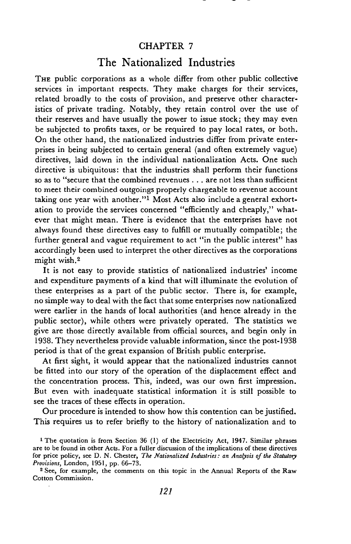# CHAPTER 7

# The Nationalized Industries

THE public corporations as a whole differ from other public collective services in important respects. They make charges for their services, related broadly to the costs of provision, and preserve other characteristics of private trading. Notably, they retain control over the use of their reserves and have usually the power to issue stock; they may even be subjected to profits taxes, or be required to pay local rates, or both. On the other hand, the nationalized industries differ from private enterprises in being subjected to certain general (and often extremely vague) directives, laid down in the individual nationalization Acts. One such directive is ubiquitous: that the industries shall perform their functions so as to "secure that the combined revenues. . . are not less than sufficient to meet their combined outgoings properly chargeable to revenue account taking one year with another."1 Most Acts also include a general exhortation to provide the services concerned "efficiently and cheaply," whatever that might mean. There is evidence that the enterprises have not always found these directives easy to fulfill or mutually compatible; the further general and vague requirement to act "in the public interest" has accordingly been used to interpret the other directives as the corporations might wish.2

It is not easy to provide statistics of nationalized industries' income and expenditure payments of a kind that will illuminate the evolution of these enterprises as a part of the public sector. There is, for example, no simple way to deal with the fact that some enterprises now nationalized were earlier in the hands of local authorities (and hence already in the public sector), while others were privately operated. The statistics we give are those directly available from official sources, and begin only in 1938. They nevertheless provide valuable information, since the post-1938 period is that of the great expansion of British public enterprise.

At first sight, it would appear that the nationalized industries cannot be fitted into our story of the operation of the displacement effect and the concentration process. This, indeed, was our own first impression. But even with inadequate statistical information it is still possible to see the traces of these effects in operation.

Our procedure is intended to show how this contention can be justified. This requires us to refer briefly to the history of nationalization and to

<sup>&#</sup>x27;The quotation is from Section 36 (1) of the Electricity Act, 1947. Similar phrases are to be found in other Acts. For a fuller discussion of the implications of these directives for price policy, see D. N. Chester, The Nationalized Industries: an Analysis of the Statutory Provisions, London, 1951, pp. 66—73.

<sup>2</sup> See, for example, the comments on this topic in the Annual Reports of the Raw Cotton Commission.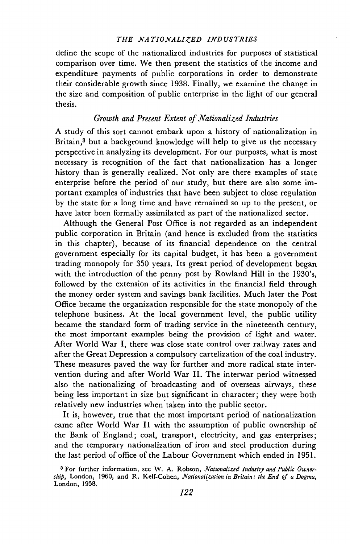# THE XATIOXALIZED IXDUSTRIES

define the scope of the nationalized industries for purposes of statistical comparison over time. We then present the statistics of the income and expenditure payments of public corporations in order to demonstrate their considerable growth since 1938. Finally, we examine the change in the size and composition of public enterprise in the light of our general thesis.

# Growth and Present Extent of Nationalized Industries

A study of this sort cannot embark upon a history of nationalization in Britain,<sup>3</sup> but a background knowledge will help to give us the necessary perspective in analyzing its development. For our purposes, what is most necessary is recognition of the fact that nationalization has a longer history than is generally realized. Not only are there examples of state enterprise before the period of our study, but there are also some important examples of industries that have been subject to close regulation by the state for a long time and have remained so up to the present, or have later been formally assimilated as part of the nationalized sector.

Although the General Post Office is not regarded as an independent public corporation in Britain (and hence is excluded from the statistics in this chapter), because of its financial dependence on the central government especially for its capital budget, it has been a government trading monopoly for 350 years. Its great period of development began with the introduction of the penny post by Rowland Hill in the 1930's, followed by the extension of its activities in the financial field through the money order system and savings bank facilities. Much later the Post Office became the organization responsible for the state monopoly of the telephone business. At the local government level, the public utility became the standard form of trading service in the nineteenth century, the most important examples being the provision of light and water. After World War I, there was close state control over railway rates and after the Great Depression a compulsory cartelization of the coal industry. These measures paved the way for further and more radical state intervention during and after World War II. The interwar period witnessed also the nationalizing of broadcasting and of overseas airways, these being less important in size but significant in character; they were both relatively new industries when taken into the public sector.

It is, however, true that the most important period of nationalization came after World War II with the assumption of public ownership of the Bank of England; coal, transport, electricity, and gas enterprises; and the temporary nationalization of iron and steel production during the last period of office of the Labour Government which ended in 1951.

<sup>&</sup>lt;sup>3</sup> For further information, see W. A. Robson, Nationalized Industry and Public Ownership, London, 1960, and R. Kelf-Cohen, Nationalization in Britain: the End of a Dogma, London, 1958.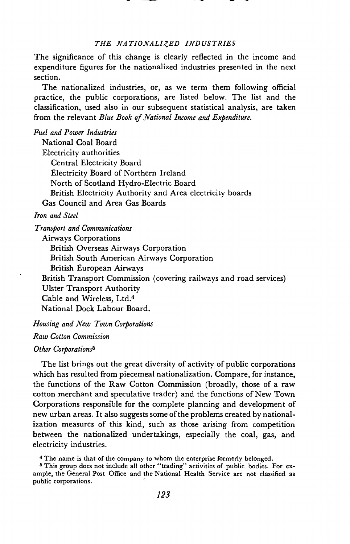The significance of this change is clearly reflected in the income and expenditure figures for the nationalized industries presented in the next section.

The nationalized industries, or, as we term them following official practice, the public corporations, are listed below. The list and the classification, used also in our subsequent statistical analysis, are taken from the relevant Blue Book of National Income and Expenditure.

Fuel and Power Industries National Coal Board Electricity authorities Central Electricity Board Electricity Board of Northern Ireland North of Scotland Hydro-Electric Board British Electricity Authority and Area electricity boards Gas Council and Area Gas Boards

Iron and Steel

Transport and Communications

Airways Corporations British Overseas Airways Corporation British South American Airways Corporation British European Airways British Transport Commission (covering railways and road services) Ulster Transport Authority Cable and Wireless, Ltd.4 National Dock Labour Board.

Housing and New Town Corporations

Raw Cotton Commission

Other Corporations5

The list brings out the great diversity of activity of public corporations which has resulted from piecemeal nationalization. Compare, for instance, the functions of the Raw Cotton Commission (broadly, those of a raw cotton merchant and speculative trader) and the functions of New Town Corporations responsible for the complete planning and development of new urban areas. It also suggests some of the problems created by nationalization measures of this kind, such as those arising from competition between the nationalized undertakings, especially the coal, gas, and electricity industries.

<sup>4</sup> The name is that of the company to whom the enterprise formerly belonged.

<sup>5</sup> This group does not include all other "trading" activities of public bodies. For example, the General Post Office and the National Health Service are not classified as public corporations.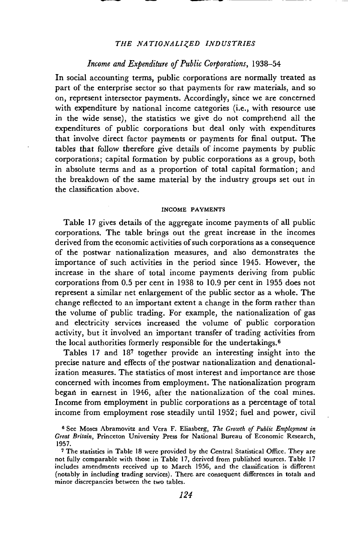## Income and Expenditure of Public Corporations, 1938—54

In social accounting terms, public corporations are normally treated as part of the enterprise sector so that payments for raw materials, and so on, represent intersector payments. Accordingly, since we are concerned with expenditure by national income categories (i.e., with resource use in the wide sense), the statistics we give do not comprehend all the expenditures of public corporations but deal only with expenditures that involve direct factor payments or payments for final output. The tables that follow therefore give details of income payments by public corporations; capital formation by public corporations as a group, both in absolute terms and as a proportion of total capital formation; and the breakdown of the same material by the industry groups set out in the classification above.

#### INCOME PAYMENTS

Table 17 gives details of the aggregate income payments of all public corporations. The table brings out the great increase in the incomes derived from the economic activities of such corporations as a consequence of the postwar nationalization measures, and also demonstrates the importance of such activities in the period since 1945. However, the increase in the share of total income payments deriving from public corporations from 0.5 per cent in 1938 to 10.9 per cent in 1955 does not represent a similar net enlargement of the public sector as a whole. The change reflected to an important extent a change in the form rather than the volume of public trading. For example, the nationalization of gas and electricity services increased the volume of public corporation activity, but it involved an important transfer of trading activities from the local authorities formerly responsible for the undertakings.6

Tables 17 and 187 together provide an interesting insight into the precise nature and effects of the postwar nationalization and denationalization measures. The statistics of most interest and importance are those concerned with incomes from employment. The nationalization program began in earnest in 1946, after the nationalization of the coal mines. Income from employment in public corporations as a percentage of total income from employment rose steadily until 1952; fuel and power, civil

<sup>6</sup> See Moses Abramovitz and Vera F. Eliasberg, The Growth of Public Employment in Great Britain, Princeton University Press for National Bureau of Economic Research, 1957.

The statistics in Table 18 were provided by the Central Statistical Office. They are not fully comparable with those in Table 17, derived from published sources. Table 17 includes amendments received up to March 1956, and the classification is different (notably in including trading services). There. are consequent differences in totals and minor discrepancies between the two tables.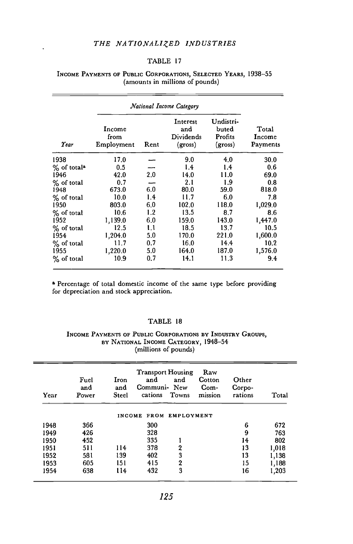#### TABLE 17

|                         |                              |      | National Income Category                |                                          |                             |
|-------------------------|------------------------------|------|-----------------------------------------|------------------------------------------|-----------------------------|
| Year                    | Income<br>from<br>Employment | Rent | Interest<br>and<br>Dividends<br>(gross) | Undistri-<br>buted<br>Profits<br>(gross) | Total<br>Income<br>Payments |
| 1938                    | 17.0                         |      | 9.0                                     | 4.0                                      | 30.0                        |
| % of total <sup>8</sup> | 0.5                          |      | 1.4                                     | 1.4                                      | 0.6                         |
| 1946                    | 42.0                         | 2.0  | 14.0                                    | 11.0                                     | 69.0                        |
| % of total              | 0.7                          |      | 2.1                                     | 1.9                                      | 0.8                         |
| 1948                    | 673.0                        | 6.0  | 80.0                                    | 59.0                                     | 818.0                       |
| % of total              | 10.0                         | 1.4  | 11.7                                    | 6.0                                      | 7.8                         |
| 1950                    | 803.0                        | 6,0  | 102.0                                   | 118.0                                    | 1,029.0                     |
| % of total              | 10.6                         | 1.2  | 13.5                                    | 8.7                                      | 8.6                         |
| 1952                    | 1,139.0                      | 6.0  | 159.0                                   | 143.0                                    | 1,447.0                     |
| % of total              | 12.5                         | 1,1  | 18.5                                    | 13.7                                     | 10.5                        |
| 1954                    | 1,204.0                      | 5.0  | 170.0                                   | 221.0                                    | 1,600.0                     |
| $%$ of total            | 11.7                         | 0.7  | 16.0                                    | 14.4                                     | 10.2                        |
| 1955                    | 1,220.0                      | 5.0  | 164.0                                   | 187.0                                    | 1,576.0                     |
| $%$ of total            | 10.9                         | 0.7  | 14.1                                    | 11.3                                     | 9.4                         |

### INCOME PAYMENTS OF PUBLIC CORPORATIONS, SELECTED YEARS, 1938—55 (amounts in millions of pounds)

a Percentage of total domestic income of the same type before providing for depreciation and stock appreciation.

#### TABLE <sup>18</sup>

#### INCOME PAYMENTS OF PUBLIC CORPORATIONS BY INDUSTRY GROUPS, BY NATIONAL INCOME CATEGORY, 1948-54 (millions of pounds)

|      | INCOME PAYMENTS OF PUBLIC CORPORATIONS BY INDUSTRY GROUPS, |                      | BY NATIONAL INCOME CATEGORY, 1948-54<br>(millions of pounds) |                         |                                    |                            |       |
|------|------------------------------------------------------------|----------------------|--------------------------------------------------------------|-------------------------|------------------------------------|----------------------------|-------|
| Year | Fuel<br>and<br>Power                                       | Iron<br>and<br>Steel | <b>Transport Housing</b><br>and<br>Communi- New<br>cations   | and<br>Towns            | Raw<br>Cotton<br>$Com-$<br>mission | Other<br>Corpo-<br>rations | Total |
|      |                                                            | <b>INCOME</b>        |                                                              | FROM EMPLOYMENT         |                                    |                            |       |
| 1948 | 366                                                        |                      | 300                                                          |                         |                                    | 6                          | 672   |
| 1949 | 426                                                        |                      | 328                                                          |                         |                                    | 9                          | 763   |
| 1950 | 452                                                        |                      | 335                                                          |                         |                                    | 14                         | 802   |
| 1951 | 511                                                        | 114                  | 378                                                          | 2                       |                                    | 13                         | 1,018 |
| 1952 | 581                                                        | 139                  | 402                                                          | 3                       |                                    | 13                         | 1,138 |
| 1953 | 605                                                        | 151                  | 415                                                          | $\overline{\mathbf{2}}$ |                                    | 15                         | 1,188 |
| 1954 | 638                                                        | 114                  | 432                                                          | 3                       |                                    | 16                         | 1,203 |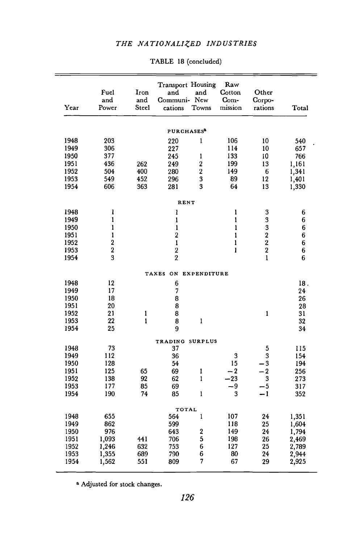| Year | Fuel<br>and<br>Power    | Iron<br>and<br>Steel | <b>Transport Housing</b><br>and<br>Communi- New<br>cations | and<br>Towns            | Raw<br>Cotton<br>Com-<br>mission | Other<br>Corpo-<br>rations | Total |
|------|-------------------------|----------------------|------------------------------------------------------------|-------------------------|----------------------------------|----------------------------|-------|
|      |                         |                      | PURCHASES <sup>a</sup>                                     |                         |                                  |                            |       |
| 1948 | 203                     |                      | 220                                                        | 1                       | 106                              | 10                         | 540   |
| 1949 | 306                     |                      | 227                                                        |                         | 114                              | 10                         | 657   |
| 1950 | 377                     |                      | 245                                                        | 1                       | 133                              | 10                         | 766   |
| 1951 | 436                     | 262                  | 249                                                        | $\overline{\mathbf{2}}$ | 199                              | 13                         | 1,161 |
| 1952 | 504                     | 400                  | 280                                                        | $\overline{\mathbf{2}}$ | 149                              | 6                          | 1,341 |
| 1953 | 549                     | 452                  | 296                                                        | 3                       | 89                               | $12\,$                     | 1,401 |
| 1954 | 606                     | 363                  | 281                                                        | 3                       | 64                               | 13                         | 1,330 |
|      |                         |                      | <b>RENT</b>                                                |                         |                                  |                            |       |
| 1948 | 1                       |                      | 1                                                          |                         | 1                                | 3                          | 6     |
| 1949 | 1                       |                      | ı                                                          |                         | $\mathbf{I}$                     | 3                          | 6     |
| 1950 | $\mathbf{I}$            |                      | $\mathbf{I}$                                               |                         | $\mathbf{1}$                     | 3                          | 6     |
| 1951 | $\mathbf{I}$            |                      | $\overline{\mathbf{2}}$                                    |                         | $\mathbf{1}$                     | $\overline{\mathbf{2}}$    | 6     |
| 1952 | 2                       |                      | $\mathbf{I}$                                               |                         | ı                                | $\bf 2$                    | 6     |
| 1953 | $\overline{\mathbf{2}}$ |                      | $\overline{\mathbf{2}}$                                    |                         | 1                                | $\overline{\mathbf{2}}$    | 6     |
| 1954 | 3                       |                      | $\overline{2}$                                             |                         |                                  | $\mathbf{1}$               | 6     |
|      |                         |                      | TAXES ON EXPENDITURE                                       |                         |                                  |                            |       |
| 1948 | 12                      |                      | 6                                                          |                         |                                  |                            | 18.   |
| 1949 | 17                      |                      | 7                                                          |                         |                                  |                            | 24    |
| 1950 | 18                      |                      | 8                                                          |                         |                                  |                            | 26    |
| 1951 | 20                      |                      | 8                                                          |                         |                                  |                            | 28    |
| 1952 | 21                      | $\mathbf{I}$         | 8                                                          |                         |                                  | 1                          | 31    |
| 1953 | 22                      | $\mathbf{1}$         | 8                                                          | 1                       |                                  |                            | 32    |
| 1954 | 25                      |                      | 9                                                          |                         |                                  |                            | 34    |
| 1948 | 73                      |                      | TRADING SURPLUS<br>37                                      |                         |                                  | 5                          | 115   |
| 1949 | 112                     |                      | 36                                                         |                         | 3                                | $\overline{\mathbf{3}}$    | 154   |
| 1950 | 128                     |                      | 54                                                         |                         | 15                               | - 3                        | 194   |
| 1951 | 125                     | 65                   | 69                                                         | 1                       | $-2$                             | $-2$                       | 256   |
| 1952 | 138                     | 92                   | 62                                                         | 1                       | $-23$                            | 3                          | 273   |
| 1953 | 177                     | 85                   | 69                                                         |                         | $-9$                             | $-5$                       | 317   |
| 1954 | 190                     | 74                   | 85                                                         | 1                       | 3                                | $-1$                       | 352   |
|      |                         |                      | TOTAL                                                      |                         |                                  |                            |       |
| 1948 | 655                     |                      | 564                                                        | 1                       | 107                              | 24                         | 1,351 |
| 1949 | 862                     |                      | 599                                                        |                         | 118                              | 25                         | 1,604 |
| 1950 | 976                     |                      | 643                                                        | $\boldsymbol{2}$        | 149                              | 24                         | 1,794 |
| 1951 | 1,093                   | 441                  | 706                                                        | 5                       | 198                              | 26                         | 2,469 |
| 1952 | 1,246                   | 632                  | 753                                                        | 6                       | 127                              | 25                         | 2,789 |
| 1953 | 1,355                   | 689                  | 790                                                        | 6<br>7                  | 80                               | 24                         | 2,944 |
| 1954 | 1,562                   | 551                  | 809                                                        |                         | 67                               | 29                         | 2,925 |

# TABLE 18 (concluded)

<sup>a</sup> Adjusted for stock changes.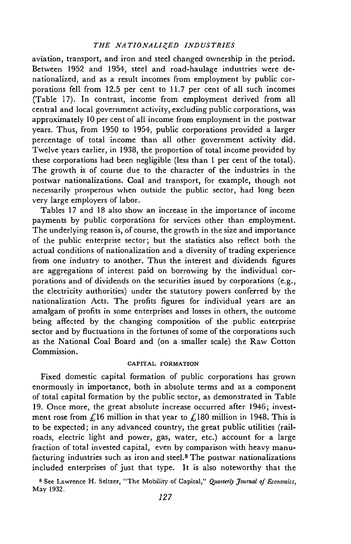aviation, transport, and iron and steel changed ownership in the period. Between 1952 and 1954, steel and road-haulage industries were denationalized, and as a result incomes from employment by public corporations fell from 12.5 per cent to 11.7 per cent of all such incomes (Table 17). In contrast, income from employment derived from all central and local government activity, excluding public corporations, was approximately 10 per cent of all income from employment in the postwar years. Thus, from 1950 to 1954, public corporations provided a larger percentage of total income than all other government activity did. Twelve years earlier, in 1938, the proportion of total income provided by these corporations had been negligible (less than I per cent of the total). The growth is of course due to the character of the industries in the postwar nationalizations. Coal and transport, for example, though not necessarily prosperous when outside the public sector, had long been very large employers of labor.

Tables 17 and 18 also show an increase in the importance of income payments by public corporations for services other than employment. The underlying reason is, of course, the growth in the size and importance of the public enterprise sector; but the statistics also reflect both the actual conditions of nationalization and a diversity of trading experience from one industry to another. Thus the interest and dividends figures are aggregations of interest paid on borrowing by the individual corporations and of dividends on the securities issued by corporations (e.g., the electricity authorities) under the statutory powers conferred by the nationalization Acts. The profits figures for individual years are an amalgam of profits in some enterprises and losses in others, the outcome being affected by the changing composition of the public enterprise sector and by fluctuations in the fortunes of some of the corporations such as the National Coal Board and (on a smaller scale) the Raw Cotton Commission.

# CAPITAL FORMATION

Fixed domestic capital formation of public corporations has grown enormously in importance, both in absolute terms and as a component of total capital formation by the public sector, as demonstrated in Table 19. Once more, the great absolute increase occurred after 1946; investment rose from  $\mathcal{L}$ 16 million in that year to  $\mathcal{L}$ 180 million in 1948. This is to be expected; in any advanced country, the great public utilities (railroads, electric light and power, gas, water, etc.) account for a large fraction of total invested capital, even by comparison with heavy manufacturing industries such as iron and steel.8 The postwar nationalizations included enterprises of just that type. It is also noteworthy that the

<sup>8</sup> See Lawrence H. Seltzer, "The Mobility of Capital," Quarterly Journal of Economics, May 1932.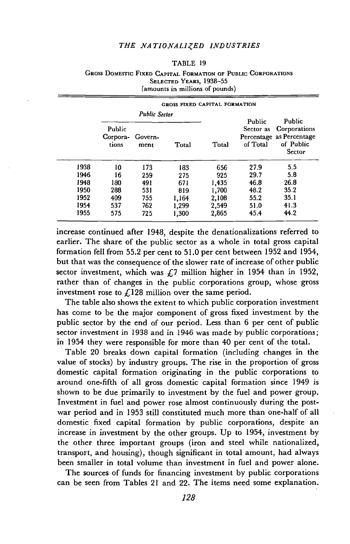## TABLE 19

|      |                             | <b>Public Sector</b> | GROSS FIXED CAPITAL FORMATION |       |                                 |                                                                           |
|------|-----------------------------|----------------------|-------------------------------|-------|---------------------------------|---------------------------------------------------------------------------|
|      | Public<br>Corpora-<br>tions | Govern-<br>ment      | Total                         | Total | Public<br>Sector as<br>of Total | Public<br>Corporations<br>Percentage as Percentage<br>of Public<br>Sector |
| 1938 | 10                          | 173                  | 183                           | 656   | 27.9                            | 5,5                                                                       |
| 1946 | 16                          | 259                  | 275                           | 925   | 29.7                            | 5.8                                                                       |
| 1948 | 180                         | 491                  | 671                           | 1,435 | 46.8                            | 26.8                                                                      |
| 1950 | 288                         | 531                  | 819                           | 1.700 | 48.2                            | 35.2                                                                      |
| 1952 | 409                         | 755                  | 1,164                         | 2.108 | 55.2                            | 35.1                                                                      |
| 1954 | 537                         | 762                  | 1,299                         | 2,549 | 51.0                            | 41.3                                                                      |
| 1955 | 575                         | 725                  | 1,300                         | 2,865 | 45.4                            | 44.2                                                                      |

#### GROSS DOMESTIC FIXED CAPITAL FORMATION OF PUBLIC CORPORATIONS SELECTED YEARS, 1938—55 (amounts in millions of pounds)

increase continued after 1948, despite the denationalizations referred to earlier. The share of the public sector as a whole in total gross capital formation fell from 55.2 per cent to 51.0 per cent between 1952 and 1954, but that was the consequence of the slower rate of increase of other public sector investment, which was  $f$ , 7 million higher in 1954 than in 1952, rather than of changes in the public corporations group, whose gross investment rose to  $f<sub>1</sub>128$  million over the same period.

The table also shows the extent to which public corporation investment has come to be the major component of gross fixed investment by the public sector by the end of our period. Less than 6 per cent of public sector investment in 1938 and in 1946 was made by public corporations; in 1954 they were responsible for more than 40 per cent of the total.

Table 20 breaks down capital formation (including changes in the value of stocks) by industry groups. The rise in the proportion of gross domestic capital formation originating in the public corporations to around one-fifth of all gross domestic capital formation since 1949 is shown to be due primarily to investment by the fuel and power group. Investment in fuel and power rose almost continuously during the postwar period and in 1953 still constituted much more than one-half of all domestic fixed capital formation by public corporations, despite an increase in investment by the other groups. Up to 1954, investment by the other three important groups (iron and steel while nationalized, transport, and housing), though significant in total amount, had always been smaller in total volume than investment in fuel and power alone.

The sources of funds for financing investment by public corporations can be seen from Tables 21 and 22. The items need some explanation,.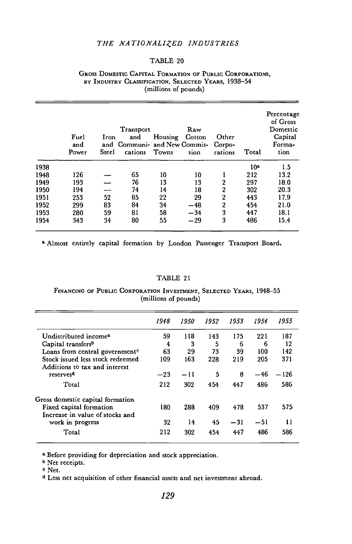### TABLE 20

#### GRoss DOMESTIC CAPITAL FORMATION OF PUBLIC CORPORATIONS, BY INDUSTRY CLASSIFICATION, SELECTED YEARS, 1938-54 (millions of pounds)

|      | Fuel<br>and<br>Power | Iron<br>and<br>Steel | Transport<br>and<br>Communi- and New Commis-<br>cations | Housing<br>Towns | Raw<br>Cotton<br>sion | Other<br>Corpo-<br>rations | Total           | Percentage<br>of Gross<br>Domestic<br>Capital<br>Forma-<br>tion |
|------|----------------------|----------------------|---------------------------------------------------------|------------------|-----------------------|----------------------------|-----------------|-----------------------------------------------------------------|
| 1938 |                      |                      |                                                         |                  |                       |                            | 10 <sup>a</sup> | 1.5                                                             |
| 1948 | 126                  |                      | 65                                                      | 10               | 10                    |                            | 212             | 13.2                                                            |
| 1949 | 193                  |                      | 76                                                      | 13               | 13                    | 2                          | 297             | 18.0                                                            |
| 1950 | 194                  |                      | 74                                                      | 14               | 18                    | $\overline{2}$             | 302             | 20.3                                                            |
| 1951 | 253                  | 52                   | 85                                                      | 22               | 29                    | 2                          | 443             | 17.9                                                            |
| 1952 | 299                  | 83                   | 84                                                      | 34               | $-48$                 | $\overline{2}$             | 454             | 21.0                                                            |
| 1953 | 280                  | 59                   | 81                                                      | 58               | $-34$                 | 3                          | 447             | 18.1                                                            |
| 1954 | 343                  | 34                   | 80                                                      | 55               | $-29$                 | 3                          | 486             | 15.4                                                            |
|      |                      |                      |                                                         |                  |                       |                            |                 |                                                                 |

a Almost entirely capital formation by London Passenger Transport Board.

#### TABLE 21

| FINANCING OF PUBLIC CORPORATION INVESTMENT, SELECTED YEARS, 1948-55 | (millions of pounds) |       |      |       |       |        |
|---------------------------------------------------------------------|----------------------|-------|------|-------|-------|--------|
|                                                                     | 1948                 | 1950  | 1952 | 1953  | 1954  | 1955   |
| Undistributed income <sup>a</sup>                                   | 59                   | 118   | 143  | 175   | 221   | 187    |
| Capital transfers <sup>b</sup>                                      | 4                    | 3     | 5    | 6     | 6     | 12     |
| Loans from central government <sup>e</sup>                          | 63                   | 29    | 73   | 39    | 100   | 142    |
| Stock issued less stock redeemed<br>Additions to tax and interest   | 109                  | 163   | 228  | 219   | 205   | 371    |
| reserves <sup>d</sup>                                               | $-23$                | $-11$ | 5    | 8     | $-46$ | $-126$ |
| Total                                                               | 212                  | 302   | 454  | 447   | 486   | 586    |
| Gross domestic capital formation                                    |                      |       |      |       |       |        |
| Fixed capital formation<br>Increase in value of stocks and          | 180                  | 288   | 409  | 478   | 537   | 575    |
| work in progress                                                    | 32                   | 14    | 45   | $-31$ | $-51$ | 11     |
| Total                                                               | 212                  | 302   | 454  | 447   | 486   | 586    |

a Before providing for depreciation and stock appreciation.

<sup>b</sup> Net receipts.

c Net.

<sup>d</sup> Less net acquisition of other financial assets and net investment abroad.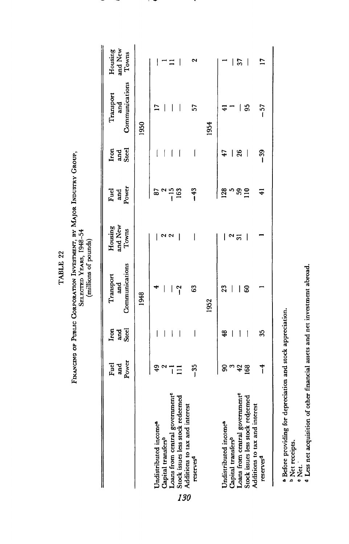| OF PUBLIC CORPORATION INVESTMENT, BY MAJOR INDUSTRY GROUP,<br>SELECTED YEARS, 1948-54<br>millions of pounds' |
|--------------------------------------------------------------------------------------------------------------|
|--------------------------------------------------------------------------------------------------------------|

|                                                                                                                                                       |                                      |                             | FINANCING OF PUBLIC CORPORATION INVESTMENT, BY MAJOR INDUSTRY GROUP,<br>SELECTED YEARS, 1948-54<br>(millions of pounds)<br>TABLE 22 |                                                      |                                 |                                                                  |                                    |                                                |
|-------------------------------------------------------------------------------------------------------------------------------------------------------|--------------------------------------|-----------------------------|-------------------------------------------------------------------------------------------------------------------------------------|------------------------------------------------------|---------------------------------|------------------------------------------------------------------|------------------------------------|------------------------------------------------|
|                                                                                                                                                       | Power<br>Fuel<br>and                 | <b>Steel</b><br>Iron<br>and | Communications<br>Transport<br>and                                                                                                  | and New<br>Housing<br>Towns                          | Power<br>Fuel<br>and            | <b>Steel</b><br>Iron<br>and                                      | Communications<br>Transport<br>and | and New<br>Housing<br>Towns                    |
|                                                                                                                                                       |                                      |                             | 1948                                                                                                                                |                                                      |                                 |                                                                  | 1950                               |                                                |
| Loans from central government <sup>e</sup><br>Stock issues less stock redeemed<br>Undistributed income <sup>®</sup><br>Capital transfersb<br>130      | 9<br>$\sim$<br>$\vec{I}$<br>Ξ        | $\mathsf{l}$                | $\overline{1}$                                                                                                                      | 22                                                   | $-15$<br>163<br>$\sim$<br>55    | $\overline{1}$<br>$\overline{1}$                                 | 17<br>$\overline{\phantom{a}}$     | $\overline{a}$<br>$\overline{\phantom{a}}$     |
| Additions to tax and interest<br>reserves <sup>d</sup>                                                                                                | $-35$                                | $\overline{\phantom{a}}$    | 63<br>1952                                                                                                                          |                                                      | $-43$                           | $\bigg $                                                         | 57<br>1954                         | 2                                              |
| Loans from central government <sup>e</sup><br>Stock issues less stock redeemed<br>Undistributed income <sup>a</sup><br>Capital transfers <sup>b</sup> | g<br>S<br>42<br>168                  | ₽<br>ł<br>$\mathsf{I}$      | 23<br>8<br>I                                                                                                                        | $\sim$<br>$\overline{5}$<br>$\overline{\phantom{a}}$ | ŋ<br>128<br>S,<br>$\frac{1}{2}$ | 26<br>47<br>$\overline{\phantom{a}}$<br>$\overline{\phantom{a}}$ | 55<br>Ŧ                            | 57<br>$\overline{\phantom{a}}$<br>$\mathsf{I}$ |
| Additions to tax and interest<br>reserves <sup>d</sup>                                                                                                | $\vec{a}$                            | S,                          |                                                                                                                                     |                                                      | $\overline{+}$                  | $\frac{39}{1}$                                                   | $-57$                              | $\overline{1}$                                 |
| a Before providing for<br><sup>4</sup> Less net acquisition<br><sup>b</sup> Net receipts.<br><b>.</b> Net.                                            | depreciation and stock appreciation. |                             | of other financial assets and net investment abroad.                                                                                |                                                      |                                 |                                                                  |                                    |                                                |

٠.

▾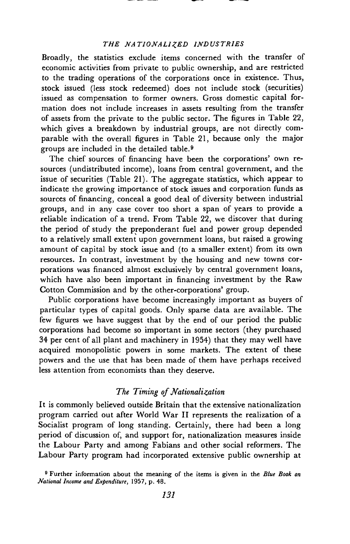Broadly, the statistics exclude items concerned with the transfer of economic activities from private to public ownership, and are restricted to the trading operations of the corporations once in existence. Thus, stock issued (less stock redeemed) does not include stock (securities) issued as compensation to former owners. Gross domestic capital formation does not include increases in assets resulting from the transfer of assets from the private to the public sector. The figures in Table 22, which gives a breakdown by industrial groups, are not directly comparable with the overall figures in Table 21, because only the major groups are included in the detailed table.9

The chief sources of financing have been the corporations' own resources (undistributed income), loans from central government, and the issue of securities (Table 21). The aggregate statistics, which appear to indicate the growing importance of stock issues and corporation funds as sources of financing, conceal a good deal of diversity between industrial groups, and in any case cover too short a span of years to provide a reliable indication of a trend. From Table 22, we discover that during the period of study the preponderant fuel and power group depended to a relatively small extent upon government loans, but raised a growing amount of capital by stock issue and (to a smaller extent) from its own resources. In contrast, investment by the housing and new towns corporations was financed almost exclusively by central government loans, which have also been important in financing investment by the Raw Cotton Commission and by the other-corporations' group.

Public corporations have become increasingly important as buyers of particular types of capital goods. Only sparse data are available. The few figures we have suggest that by the end of our period the public corporations had become so important in some sectors (they purchased 34 per cent of all plant and machinery in 1954) that they may well have acquired monopolistic powers in some markets. The extent of these powers and the use that has been made of them have perhaps received less attention from economists than they deserve.

# The Timing of Xationalization

It is commonly believed outside Britain that the extensive nationalization program carried out after World War II represents the realization of a Socialist program of long standing. Certainly, there had been a long period of discussion of, and support for, nationalization measures inside the Labour Party and among Fabians and other social reformers. The Labour Party program had incorporated extensive public ownership at

<sup>&</sup>lt;sup>9</sup> Further information about the meaning of the items is given in the Blue Book on National Income and Expenditure, 1957, p. 48.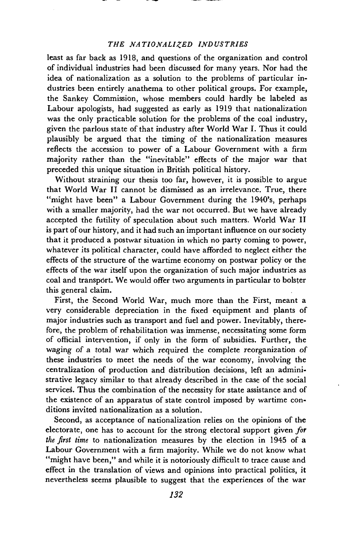least as far back as 1918, and questions of the organization and control of individual industries had been discussed for many years. Nor had the idea of nationalization as a solution to the problems of particular industries been entirely anathema to other political groups. For example, the Sankey Commission, whose members could hardly be labeled as Labour apologists, had suggested as early as 1919 that nationalization was the only practicable solution for the problems of the coal industry, given the parlous state of that industry after World War I. Thus it could plausibly be argued that the timing of the nationalization measures reflects the accession to power of a Labour Government with a firm majority rather than the "inevitable" effects of the major war that preceded this unique situation in British political history.

Without straining our thesis too far, however, it is possible to argue that World War II cannot be dismissed as an irrelevance. True, there "might have been" a Labour Government during the 1940's, perhaps with a smaller majority, had the war not occurred. But we have already accepted the futility of speculation about such matters. World War II is part of our history, and it had such an important influence on our society that it produced a postwar situation in which no party coming to power, whatever its political character, could have afforded to neglect either the effects of the structure of the wartime economy on postwar policy or the effects of the war itself upon the organization of such major industries as coal and transport. We would offer two arguments in particular to bolster this general claim.

First, the Second World War, much more than the First, meant a very considerable depreciation in the fixed equipment and plants of major industries such as transport and fuel and power. Inevitably, therefore, the problem of rehabilitation was immense, necessitating some form of official intervention, if only in the form of subsidies. Further, the waging of a total war which required the complete reorganization of these industries to meet the needs of the war economy, involving the centralization of production and distribution decisions, left an administrative legacy similar to that already described in the case of the social services. Thus the combination of the necessity for state assistance and of the existence of an apparatus of state control imposed by wartime conditions invited nationalization as a solution.

Second, as acceptance of nationalization relies on the opinions of the electorate, one has to account for the strong electoral support given for the first time to nationalization measures by the election in 1945 of a Labour Government with a firm majority. While we do not know what "might have been," and while it is notoriously difficult to trace cause and effect in the translation of views and opinions into practical politics, it nevertheless seems plausible to suggest that the experiences of the war